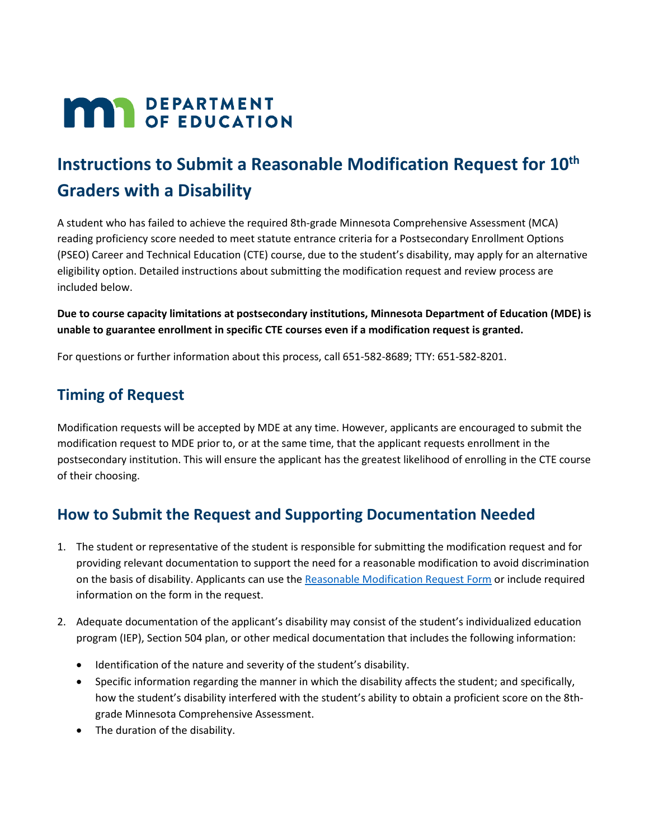# **MAR** DEPARTMENT

## **Instructions to Submit a Reasonable Modification Request for 10th Graders with a Disability**

A student who has failed to achieve the required 8th-grade Minnesota Comprehensive Assessment (MCA) reading proficiency score needed to meet statute entrance criteria for a Postsecondary Enrollment Options (PSEO) Career and Technical Education (CTE) course, due to the student's disability, may apply for an alternative eligibility option. Detailed instructions about submitting the modification request and review process are included below.

#### **Due to course capacity limitations at postsecondary institutions, Minnesota Department of Education (MDE) is unable to guarantee enrollment in specific CTE courses even if a modification request is granted.**

For questions or further information about this process, call 651-582-8689; TTY: 651-582-8201.

## **Timing of Request**

Modification requests will be accepted by MDE at any time. However, applicants are encouraged to submit the modification request to MDE prior to, or at the same time, that the applicant requests enrollment in the postsecondary institution. This will ensure the applicant has the greatest likelihood of enrolling in the CTE course of their choosing.

## **How to Submit the Request and Supporting Documentation Needed**

- 1. The student or representative of the student is responsible for submitting the modification request and for providing relevant documentation to support the need for a reasonable modification to avoid discrimination on the basis of disability. Applicants can use the [Reasonable Modification Request Form](#page-2-0) or include required information on the form in the request.
- 2. Adequate documentation of the applicant's disability may consist of the student's individualized education program (IEP), Section 504 plan, or other medical documentation that includes the following information:
	- Identification of the nature and severity of the student's disability.
	- Specific information regarding the manner in which the disability affects the student; and specifically, how the student's disability interfered with the student's ability to obtain a proficient score on the 8thgrade Minnesota Comprehensive Assessment.
	- The duration of the disability.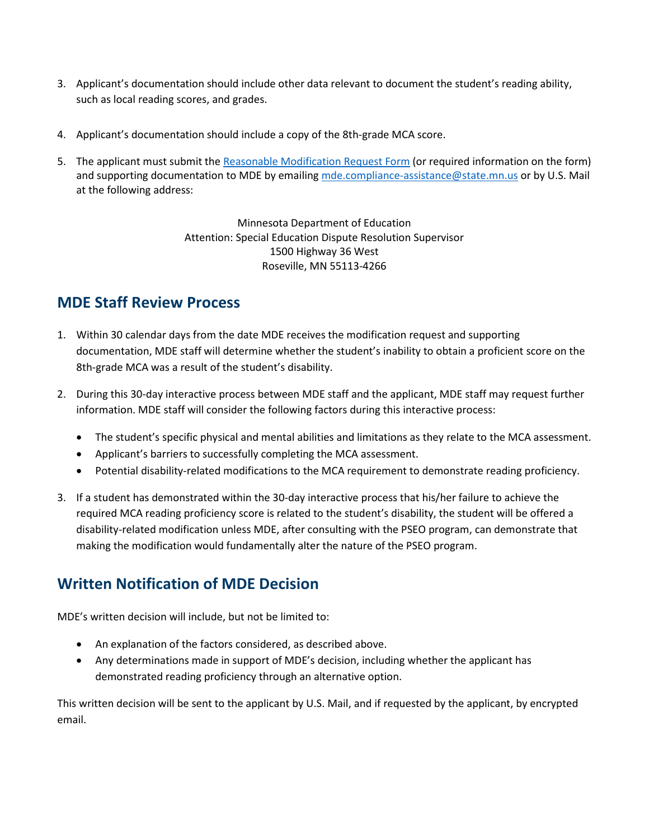- 3. Applicant's documentation should include other data relevant to document the student's reading ability, such as local reading scores, and grades.
- 4. Applicant's documentation should include a copy of the 8th-grade MCA score.
- 5. The applicant must submit th[e Reasonable Modification Request Form](#page-2-0) (or required information on the form) and supporting documentation to MDE by emailing [mde.compliance-assistance@state.mn.us](mailto:mde.compliance-assistance@state.mn.us) or by U.S. Mail at the following address:

Minnesota Department of Education Attention: Special Education Dispute Resolution Supervisor 1500 Highway 36 West Roseville, MN 55113-4266

## **MDE Staff Review Process**

- 1. Within 30 calendar days from the date MDE receives the modification request and supporting documentation, MDE staff will determine whether the student's inability to obtain a proficient score on the 8th-grade MCA was a result of the student's disability.
- 2. During this 30-day interactive process between MDE staff and the applicant, MDE staff may request further information. MDE staff will consider the following factors during this interactive process:
	- The student's specific physical and mental abilities and limitations as they relate to the MCA assessment.
	- Applicant's barriers to successfully completing the MCA assessment.
	- Potential disability-related modifications to the MCA requirement to demonstrate reading proficiency.
- 3. If a student has demonstrated within the 30-day interactive process that his/her failure to achieve the required MCA reading proficiency score is related to the student's disability, the student will be offered a disability-related modification unless MDE, after consulting with the PSEO program, can demonstrate that making the modification would fundamentally alter the nature of the PSEO program.

## **Written Notification of MDE Decision**

MDE's written decision will include, but not be limited to:

- An explanation of the factors considered, as described above.
- Any determinations made in support of MDE's decision, including whether the applicant has demonstrated reading proficiency through an alternative option.

This written decision will be sent to the applicant by U.S. Mail, and if requested by the applicant, by encrypted email.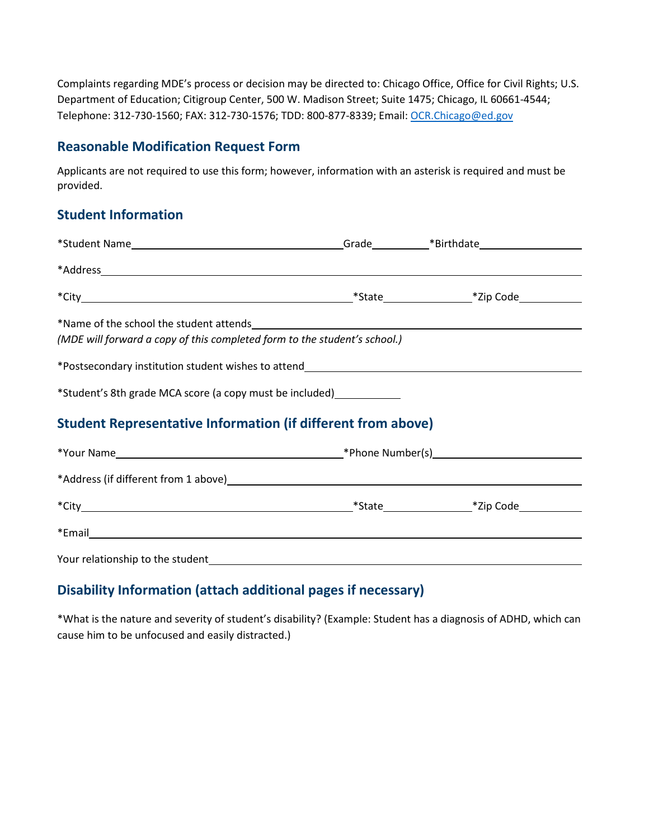Complaints regarding MDE's process or decision may be directed to: Chicago Office, Office for Civil Rights; U.S. Department of Education; Citigroup Center, 500 W. Madison Street; Suite 1475; Chicago, IL 60661-4544; Telephone: 312-730-1560; FAX: 312-730-1576; TDD: 800-877-8339; Email: OCR.Chicago@ed.gov

#### <span id="page-2-0"></span>**Reasonable Modification Request Form**

Applicants are not required to use this form; however, information with an asterisk is required and must be provided.

#### **Student Information**

| (MDE will forward a copy of this completed form to the student's school.) |  |  |
|---------------------------------------------------------------------------|--|--|
|                                                                           |  |  |
| *Student's 8th grade MCA score (a copy must be included)_____________     |  |  |
| <b>Student Representative Information (if different from above)</b>       |  |  |
|                                                                           |  |  |
|                                                                           |  |  |
|                                                                           |  |  |
|                                                                           |  |  |

Your relationship to the student

### **Disability Information (attach additional pages if necessary)**

\*What is the nature and severity of student's disability? (Example: Student has a diagnosis of ADHD, which can cause him to be unfocused and easily distracted.)